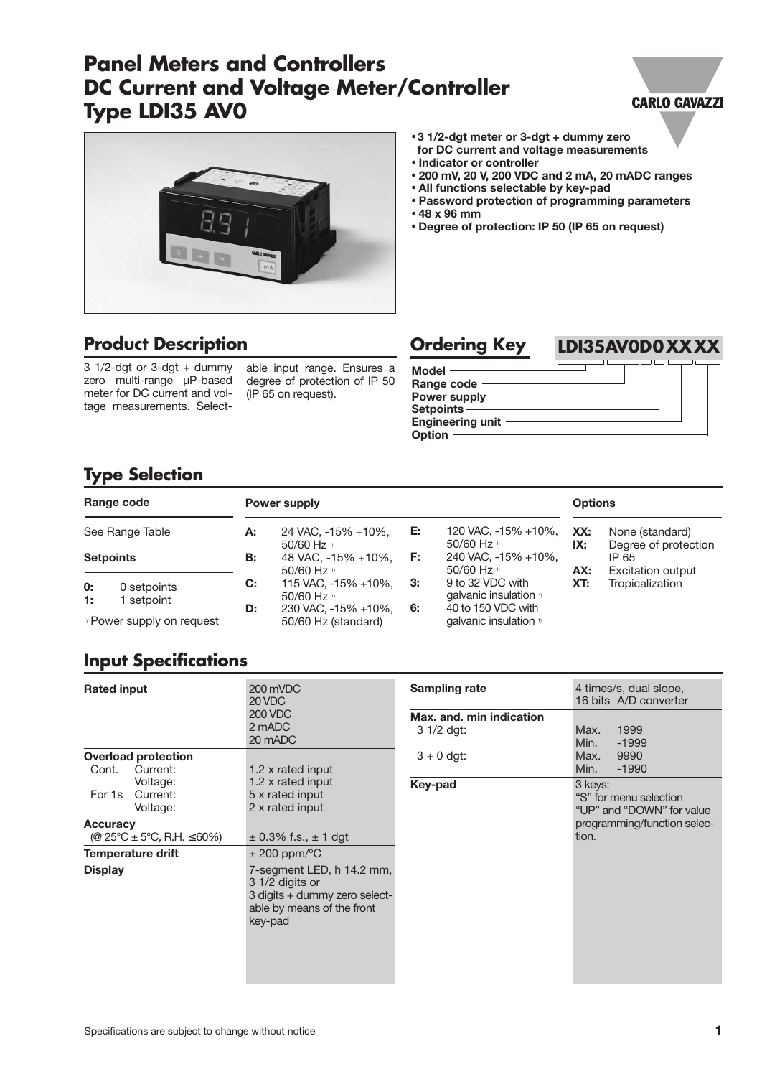# **Panel Meters and Controllers DC Current and Voltage Meter/Controller Type LDI35 AV0**

#### **CARLO GAVAZZI**



## **Product Description**

 $3 \frac{1}{2}$ -dgt or  $3$ -dgt + dummy zero multi-range µP-based meter for DC current and voltage measurements. Selectable input range. Ensures a degree of protection of IP 50 (IP 65 on request).

- **3 1/2-dgt meter or 3-dgt + dummy zero for DC current and voltage measurements** • **Indicator or controller**
- 
- **200 mV, 20 V, 200 VDC and 2 mA, 20 mADC ranges**
- **All functions selectable by key-pad**
- **Password protection of programming parameters** • **48 x 96 mm**
- **Degree of protection: IP 50 (IP 65 on request)**





# **Type Selection**

|          | Range code                           |           | Power supply                                       |    |                                                        | <b>Options</b> |                                                           |
|----------|--------------------------------------|-----------|----------------------------------------------------|----|--------------------------------------------------------|----------------|-----------------------------------------------------------|
|          | See Range Table                      | А:        | 24 VAC, -15% +10%,                                 | Е. | 120 VAC, -15% +10%,<br>50/60 Hz $v$                    | XX:            | None (standard)                                           |
|          | <b>Setpoints</b>                     | <b>B:</b> | 50/60 Hz $v$<br>48 VAC, -15% +10%,<br>50/60 Hz $v$ | E: | 240 VAC, -15% +10%,<br>50/60 Hz $\frac{1}{2}$          | IX:<br>AX:     | Degree of protection<br>IP 65<br><b>Excitation output</b> |
| 0:<br>1: | 0 setpoints<br>setpoint              | C:        | 115 VAC, -15% +10%,<br>50/60 Hz $v$                | З: | 9 to 32 VDC with<br>qalvanic insulation <sup>1</sup>   | XT:            | Tropicalization                                           |
|          | <sup>1</sup> Power supply on request | D:        | 230 VAC, -15% +10%,<br>50/60 Hz (standard)         | 6: | 40 to 150 VDC with<br>qalvanic insulation <sup>1</sup> |                |                                                           |

# **Input Specifications**

| <b>Rated input</b>                                      | 200 mVDC<br>20 VDC<br><b>200 VDC</b><br>2 mADC<br>20 mADC                                                              | <b>Sampling rate</b><br>Max. and. min indication<br>$31/2$ dgt: | 4 times/s, dual slope,<br>16 bits A/D converter<br>1999<br>Max.<br>Min.<br>$-1999$ |
|---------------------------------------------------------|------------------------------------------------------------------------------------------------------------------------|-----------------------------------------------------------------|------------------------------------------------------------------------------------|
| <b>Overload protection</b><br>Current:<br>Cont.         | 1.2 x rated input                                                                                                      | $3 + 0$ dgt:                                                    | Max.<br>9990<br>Min.<br>$-1990$                                                    |
| Voltage:<br>Current:<br>For 1s<br>Voltage:              | 1.2 x rated input<br>5 x rated input<br>2 x rated input                                                                | Key-pad                                                         | 3 keys:<br>"S" for menu selection<br>"UP" and "DOWN" for value                     |
| Accuracy<br>(@ $25^{\circ}$ C ± 5°C, R.H. $\leq 60\%$ ) | $\pm$ 0.3% f.s., $\pm$ 1 dgt                                                                                           |                                                                 | programming/function selec-<br>tion.                                               |
| <b>Temperature drift</b>                                | $\pm$ 200 ppm/°C                                                                                                       |                                                                 |                                                                                    |
| <b>Display</b>                                          | 7-segment LED, h 14.2 mm,<br>3 1/2 digits or<br>3 digits + dummy zero select-<br>able by means of the front<br>key-pad |                                                                 |                                                                                    |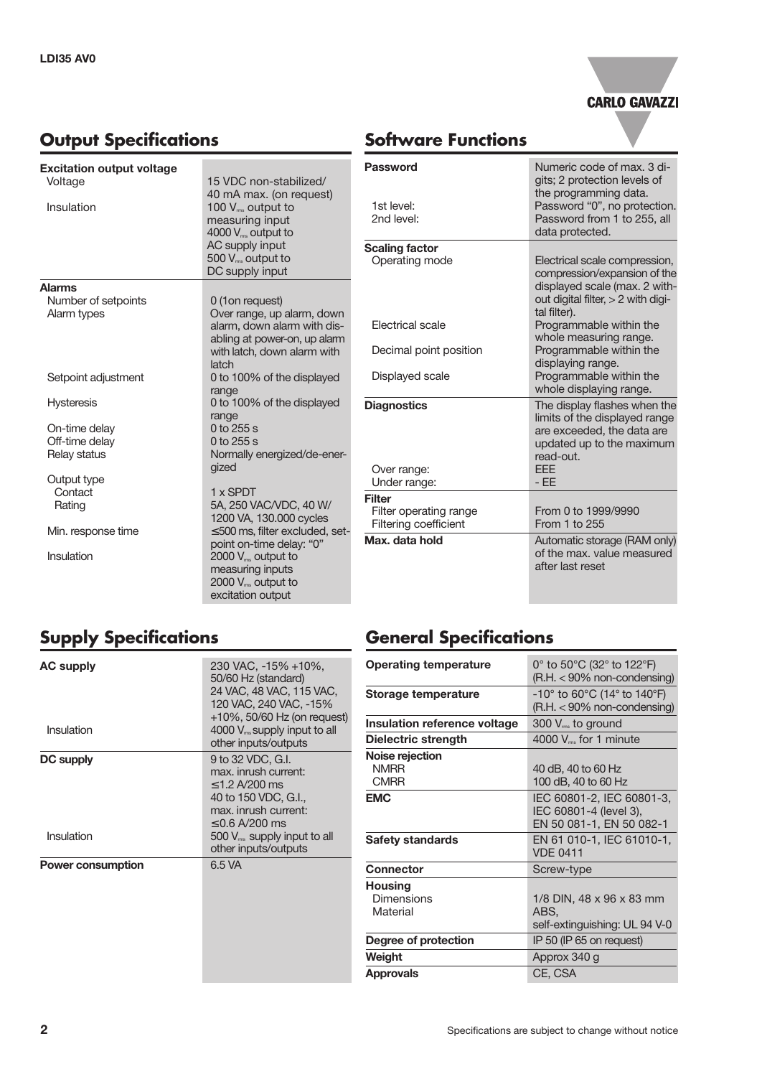



# **Software Functions**

| <b>Excitation output voltage</b> |                                                           | Password              |
|----------------------------------|-----------------------------------------------------------|-----------------------|
| Voltage                          | 15 VDC non-stabilized/                                    |                       |
| Insulation                       | 40 mA max. (on request)                                   | 1st level:            |
|                                  | 100 V <sub>ms</sub> output to<br>measuring input          | 2nd level:            |
|                                  | 4000 $V_{\text{rms}}$ output to                           |                       |
|                                  | AC supply input                                           | <b>Scaling factor</b> |
|                                  | $500 V_{\text{ms}}$ output to                             | Operating mode        |
|                                  | DC supply input                                           |                       |
| <b>Alarms</b>                    |                                                           |                       |
| Number of setpoints              | 0 (1 on request)                                          |                       |
| Alarm types                      | Over range, up alarm, down<br>alarm, down alarm with dis- | Electrical scale      |
|                                  | abling at power-on, up alarm                              |                       |
|                                  | with latch, down alarm with                               | Decimal point po      |
|                                  | latch                                                     |                       |
| Setpoint adjustment              | 0 to 100% of the displayed                                | Displayed scale       |
|                                  | range                                                     |                       |
| <b>Hysteresis</b>                | 0 to 100% of the displayed<br>range                       | <b>Diagnostics</b>    |
| On-time delay                    | $0$ to 255 s                                              |                       |
| Off-time delay                   | 0 to 255 s                                                |                       |
| Relay status                     | Normally energized/de-ener-                               |                       |
|                                  | gized                                                     | Over range:           |
| Output type                      |                                                           | Under range:          |
| Contact                          | 1 x SPDT<br>5A, 250 VAC/VDC, 40 W/                        | <b>Filter</b>         |
| Rating                           | 1200 VA, 130.000 cycles                                   | Filter operating r    |
| Min. response time               | $\leq$ 500 ms, filter excluded, set-                      | Filtering coefficie   |
|                                  | point on-time delay: "0"                                  | Max. data hold        |
| Insulation                       | $2000 V_{\text{rms}}$ output to                           |                       |
|                                  | measuring inputs                                          |                       |
|                                  | 2000 V <sub>ms</sub> output to                            |                       |
|                                  | excitation output                                         |                       |

| Password<br>1st level:<br>2nd level:              | Numeric code of max, 3 di-<br>gits; 2 protection levels of<br>the programming data.<br>Password "0", no protection.<br>Password from 1 to 255, all<br>data protected. |
|---------------------------------------------------|-----------------------------------------------------------------------------------------------------------------------------------------------------------------------|
| <b>Scaling factor</b>                             |                                                                                                                                                                       |
| Operating mode                                    | Electrical scale compression,<br>compression/expansion of the<br>displayed scale (max. 2 with-<br>out digital filter, $> 2$ with digi-<br>tal filter).                |
| Electrical scale                                  | Programmable within the<br>whole measuring range.                                                                                                                     |
| Decimal point position                            | Programmable within the<br>displaying range.                                                                                                                          |
| Displayed scale                                   | Programmable within the<br>whole displaying range.                                                                                                                    |
| <b>Diagnostics</b><br>Over range:<br>Under range: | The display flashes when the<br>limits of the displayed range<br>are exceeded, the data are<br>updated up to the maximum<br>read-out.<br>EEE<br>- FF                  |
| Filter                                            |                                                                                                                                                                       |
| Filter operating range<br>Filtering coefficient   | From 0 to 1999/9990<br>From 1 to 255                                                                                                                                  |
| Max. data hold                                    | Automatic storage (RAM only)<br>of the max. value measured<br>after last reset                                                                                        |

# **Supply Specifications**

| <b>AC supply</b><br>Insulation | 230 VAC, -15% +10%,<br>50/60 Hz (standard)<br>24 VAC, 48 VAC, 115 VAC,<br>120 VAC, 240 VAC, -15%<br>$+10\%$ , 50/60 Hz (on request)<br>$4000$ $V_{\text{ms}}$ supply input to all<br>other inputs/outputs |
|--------------------------------|-----------------------------------------------------------------------------------------------------------------------------------------------------------------------------------------------------------|
| DC supply<br>Insulation        | 9 to 32 VDC, G.I.<br>max. inrush current:<br>$<$ 1.2 A/200 ms<br>40 to 150 VDC, G.I.,<br>max. inrush current:<br>≤ 0.6 A/200 ms<br>500 V <sub>ms</sub> supply input to all<br>other inputs/outputs        |
| <b>Power consumption</b>       | 6.5 VA                                                                                                                                                                                                    |

# **General Specifications**

| 0 $\degree$ to 50 $\degree$ C (32 $\degree$ to 122 $\degree$ F)<br>$(R.H. < 90\%$ non-condensing)      |  |  |
|--------------------------------------------------------------------------------------------------------|--|--|
| $-10^{\circ}$ to 60 $^{\circ}$ C (14 $^{\circ}$ to 140 $^{\circ}$ F)<br>$(R.H. < 90\%$ non-condensing) |  |  |
| 300 V <sub>rms</sub> to ground                                                                         |  |  |
| 4000 $V_{\text{ms}}$ for 1 minute                                                                      |  |  |
| 40 dB, 40 to 60 Hz<br>100 dB, 40 to 60 Hz                                                              |  |  |
| IEC 60801-2, IEC 60801-3,<br>IEC 60801-4 (level 3),<br>EN 50 081-1, EN 50 082-1                        |  |  |
| EN 61 010-1, IEC 61010-1,<br><b>VDE 0411</b>                                                           |  |  |
| Screw-type                                                                                             |  |  |
| 1/8 DIN, 48 x 96 x 83 mm<br>ABS.<br>self-extinguishing: UL 94 V-0                                      |  |  |
| IP 50 (IP 65 on request)                                                                               |  |  |
| Approx 340 g                                                                                           |  |  |
| CE, CSA                                                                                                |  |  |
|                                                                                                        |  |  |